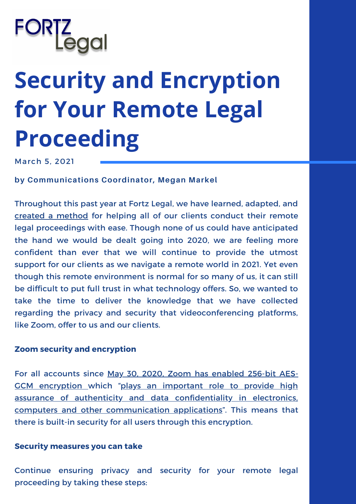# **Security and Encryption for Your Remote Legal Proceeding**

March 5, 2021

**by Communications Coordinator, Megan Markel**

Throughout this past year at Fortz Legal, we have learned, adapted, and created a [method](https://youtu.be/6Li310tmiU0) for helping all of our clients conduct their remote legal proceedings with ease. Though none of us could have anticipated the hand we would be dealt going into 2020, we are feeling more confident than ever that we will continue to provide the utmost support for our clients as we navigate a remote world in 2021. Yet even though this remote environment is normal for so many of us, it can still be difficult to put full trust in what technology offers. So, we wanted to take the time to deliver the knowledge that we have collected regarding the privacy and security that videoconferencing platforms, like Zoom, offer to us and our clients.

## **Zoom security and encryption**

For all accounts since May 30, 2020, Zoom has enabled 256-bit AES-GCM [encryption](https://blog.zoom.us/4-ways-zoom-works-to-protect-user-privacy/) which "plays an important role to provide high assurance of authenticity and data confidentiality in electronics, computers and other [communication](https://iopscience.iop.org/article/10.1088/1742-6596/1019/1/012008/pdf#:~:text=AES%2DGCM%20is%20a%20block,data%20is%20been%20hacked%20easily.&text=The%20AES%2DGCM%20algorithm%20encrypts,256%2D%20bit%20of%20cipher%20key) applications". This means that there is built-in security for all users through this encryption.

## **Security measures you can take**

Continue ensuring privacy and security for your remote legal proceeding by taking these steps: